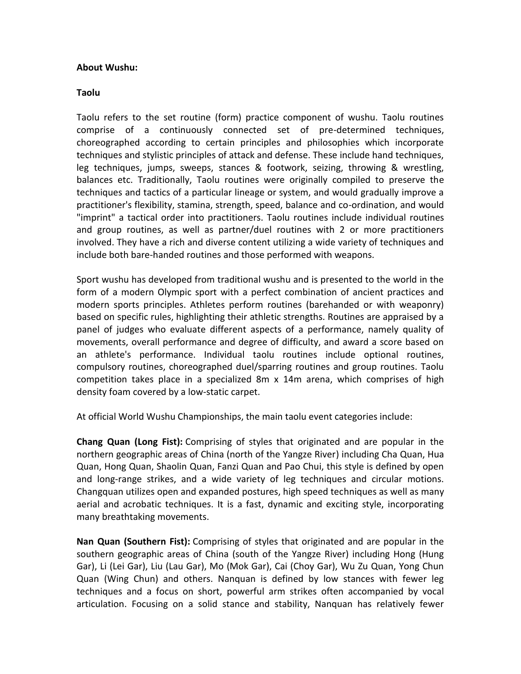## **About Wushu:**

## **Taolu**

Taolu refers to the set routine (form) practice component of wushu. Taolu routines comprise of a continuously connected set of pre-determined techniques, choreographed according to certain principles and philosophies which incorporate techniques and stylistic principles of attack and defense. These include hand techniques, leg techniques, jumps, sweeps, stances & footwork, seizing, throwing & wrestling, balances etc. Traditionally, Taolu routines were originally compiled to preserve the techniques and tactics of a particular lineage or system, and would gradually improve a practitioner's flexibility, stamina, strength, speed, balance and co-ordination, and would "imprint" a tactical order into practitioners. Taolu routines include individual routines and group routines, as well as partner/duel routines with 2 or more practitioners involved. They have a rich and diverse content utilizing a wide variety of techniques and include both bare-handed routines and those performed with weapons.

Sport wushu has developed from traditional wushu and is presented to the world in the form of a modern Olympic sport with a perfect combination of ancient practices and modern sports principles. Athletes perform routines (barehanded or with weaponry) based on specific rules, highlighting their athletic strengths. Routines are appraised by a panel of judges who evaluate different aspects of a performance, namely quality of movements, overall performance and degree of difficulty, and award a score based on an athlete's performance. Individual taolu routines include optional routines, compulsory routines, choreographed duel/sparring routines and group routines. Taolu competition takes place in a specialized 8m x 14m arena, which comprises of high density foam covered by a low-static carpet.

At official World Wushu Championships, the main taolu event categories include:

**Chang Quan (Long Fist):** Comprising of styles that originated and are popular in the northern geographic areas of China (north of the Yangze River) including Cha Quan, Hua Quan, Hong Quan, Shaolin Quan, Fanzi Quan and Pao Chui, this style is defined by open and long-range strikes, and a wide variety of leg techniques and circular motions. Changquan utilizes open and expanded postures, high speed techniques as well as many aerial and acrobatic techniques. It is a fast, dynamic and exciting style, incorporating many breathtaking movements.

**Nan Quan (Southern Fist):** Comprising of styles that originated and are popular in the southern geographic areas of China (south of the Yangze River) including Hong (Hung Gar), Li (Lei Gar), Liu (Lau Gar), Mo (Mok Gar), Cai (Choy Gar), Wu Zu Quan, Yong Chun Quan (Wing Chun) and others. Nanquan is defined by low stances with fewer leg techniques and a focus on short, powerful arm strikes often accompanied by vocal articulation. Focusing on a solid stance and stability, Nanquan has relatively fewer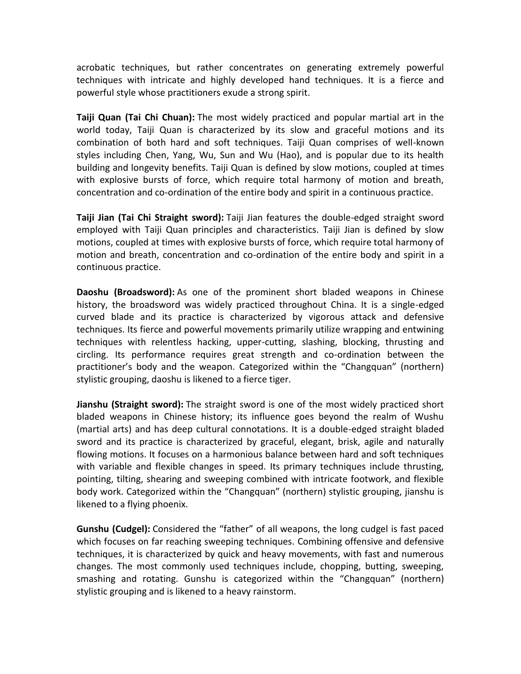acrobatic techniques, but rather concentrates on generating extremely powerful techniques with intricate and highly developed hand techniques. It is a fierce and powerful style whose practitioners exude a strong spirit.

**Taiji Quan (Tai Chi Chuan):** The most widely practiced and popular martial art in the world today, Taiji Quan is characterized by its slow and graceful motions and its combination of both hard and soft techniques. Taiji Quan comprises of well-known styles including Chen, Yang, Wu, Sun and Wu (Hao), and is popular due to its health building and longevity benefits. Taiji Quan is defined by slow motions, coupled at times with explosive bursts of force, which require total harmony of motion and breath, concentration and co-ordination of the entire body and spirit in a continuous practice.

**Taiji Jian (Tai Chi Straight sword):** Taiji Jian features the double-edged straight sword employed with Taiji Quan principles and characteristics. Taiji Jian is defined by slow motions, coupled at times with explosive bursts of force, which require total harmony of motion and breath, concentration and co-ordination of the entire body and spirit in a continuous practice.

**Daoshu (Broadsword):** As one of the prominent short bladed weapons in Chinese history, the broadsword was widely practiced throughout China. It is a single-edged curved blade and its practice is characterized by vigorous attack and defensive techniques. Its fierce and powerful movements primarily utilize wrapping and entwining techniques with relentless hacking, upper-cutting, slashing, blocking, thrusting and circling. Its performance requires great strength and co-ordination between the practitioner's body and the weapon. Categorized within the "Changquan" (northern) stylistic grouping, daoshu is likened to a fierce tiger.

**Jianshu (Straight sword):** The straight sword is one of the most widely practiced short bladed weapons in Chinese history; its influence goes beyond the realm of Wushu (martial arts) and has deep cultural connotations. It is a double-edged straight bladed sword and its practice is characterized by graceful, elegant, brisk, agile and naturally flowing motions. It focuses on a harmonious balance between hard and soft techniques with variable and flexible changes in speed. Its primary techniques include thrusting, pointing, tilting, shearing and sweeping combined with intricate footwork, and flexible body work. Categorized within the "Changquan" (northern) stylistic grouping, jianshu is likened to a flying phoenix.

**Gunshu (Cudgel):** Considered the "father" of all weapons, the long cudgel is fast paced which focuses on far reaching sweeping techniques. Combining offensive and defensive techniques, it is characterized by quick and heavy movements, with fast and numerous changes. The most commonly used techniques include, chopping, butting, sweeping, smashing and rotating. Gunshu is categorized within the "Changquan" (northern) stylistic grouping and is likened to a heavy rainstorm.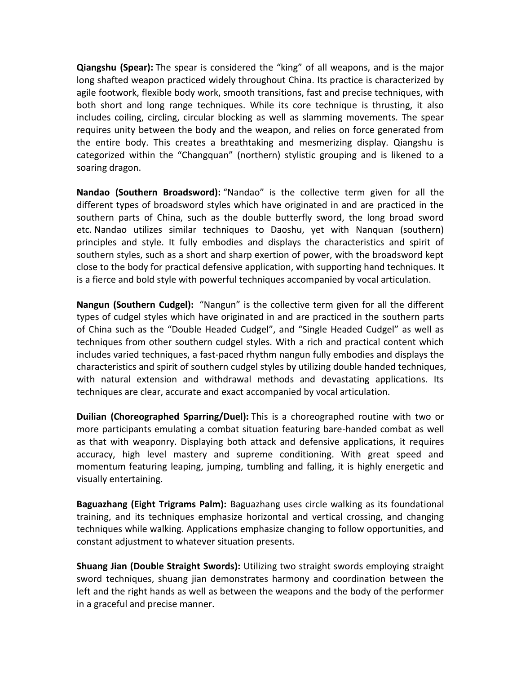**Qiangshu (Spear):** The spear is considered the "king" of all weapons, and is the major long shafted weapon practiced widely throughout China. Its practice is characterized by agile footwork, flexible body work, smooth transitions, fast and precise techniques, with both short and long range techniques. While its core technique is thrusting, it also includes coiling, circling, circular blocking as well as slamming movements. The spear requires unity between the body and the weapon, and relies on force generated from the entire body. This creates a breathtaking and mesmerizing display. Qiangshu is categorized within the "Changquan" (northern) stylistic grouping and is likened to a soaring dragon.

**Nandao (Southern Broadsword):** "Nandao" is the collective term given for all the different types of broadsword styles which have originated in and are practiced in the southern parts of China, such as the double butterfly sword, the long broad sword etc. Nandao utilizes similar techniques to Daoshu, yet with Nanquan (southern) principles and style. It fully embodies and displays the characteristics and spirit of southern styles, such as a short and sharp exertion of power, with the broadsword kept close to the body for practical defensive application, with supporting hand techniques. It is a fierce and bold style with powerful techniques accompanied by vocal articulation.

**Nangun (Southern Cudgel):** "Nangun" is the collective term given for all the different types of cudgel styles which have originated in and are practiced in the southern parts of China such as the "Double Headed Cudgel", and "Single Headed Cudgel" as well as techniques from other southern cudgel styles. With a rich and practical content which includes varied techniques, a fast-paced rhythm nangun fully embodies and displays the characteristics and spirit of southern cudgel styles by utilizing double handed techniques, with natural extension and withdrawal methods and devastating applications. Its techniques are clear, accurate and exact accompanied by vocal articulation.

**Duilian (Choreographed Sparring/Duel):** This is a choreographed routine with two or more participants emulating a combat situation featuring bare-handed combat as well as that with weaponry. Displaying both attack and defensive applications, it requires accuracy, high level mastery and supreme conditioning. With great speed and momentum featuring leaping, jumping, tumbling and falling, it is highly energetic and visually entertaining.

**Baguazhang (Eight Trigrams Palm):** Baguazhang uses circle walking as its foundational training, and its techniques emphasize horizontal and vertical crossing, and changing techniques while walking. Applications emphasize changing to follow opportunities, and constant adjustment to whatever situation presents.

**Shuang Jian (Double Straight Swords):** Utilizing two straight swords employing straight sword techniques, shuang jian demonstrates harmony and coordination between the left and the right hands as well as between the weapons and the body of the performer in a graceful and precise manner.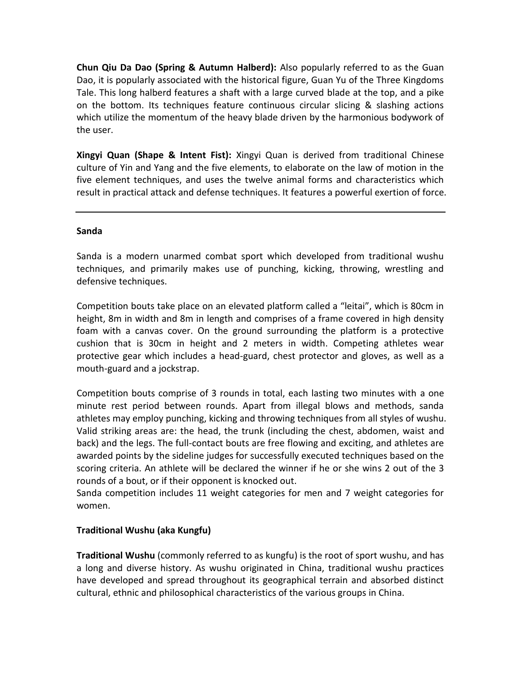**Chun Qiu Da Dao (Spring & Autumn Halberd):** Also popularly referred to as the Guan Dao, it is popularly associated with the historical figure, Guan Yu of the Three Kingdoms Tale. This long halberd features a shaft with a large curved blade at the top, and a pike on the bottom. Its techniques feature continuous circular slicing & slashing actions which utilize the momentum of the heavy blade driven by the harmonious bodywork of the user.

**Xingyi Quan (Shape & Intent Fist):** Xingyi Quan is derived from traditional Chinese culture of Yin and Yang and the five elements, to elaborate on the law of motion in the five element techniques, and uses the twelve animal forms and characteristics which result in practical attack and defense techniques. It features a powerful exertion of force.

## **Sanda**

Sanda is a modern unarmed combat sport which developed from traditional wushu techniques, and primarily makes use of punching, kicking, throwing, wrestling and defensive techniques.

Competition bouts take place on an elevated platform called a "leitai", which is 80cm in height, 8m in width and 8m in length and comprises of a frame covered in high density foam with a canvas cover. On the ground surrounding the platform is a protective cushion that is 30cm in height and 2 meters in width. Competing athletes wear protective gear which includes a head-guard, chest protector and gloves, as well as a mouth-guard and a jockstrap.

Competition bouts comprise of 3 rounds in total, each lasting two minutes with a one minute rest period between rounds. Apart from illegal blows and methods, sanda athletes may employ punching, kicking and throwing techniques from all styles of wushu. Valid striking areas are: the head, the trunk (including the chest, abdomen, waist and back) and the legs. The full-contact bouts are free flowing and exciting, and athletes are awarded points by the sideline judges for successfully executed techniques based on the scoring criteria. An athlete will be declared the winner if he or she wins 2 out of the 3 rounds of a bout, or if their opponent is knocked out.

Sanda competition includes 11 weight categories for men and 7 weight categories for women.

## **Traditional Wushu (aka Kungfu)**

**Traditional Wushu** (commonly referred to as kungfu) is the root of sport wushu, and has a long and diverse history. As wushu originated in China, traditional wushu practices have developed and spread throughout its geographical terrain and absorbed distinct cultural, ethnic and philosophical characteristics of the various groups in China.